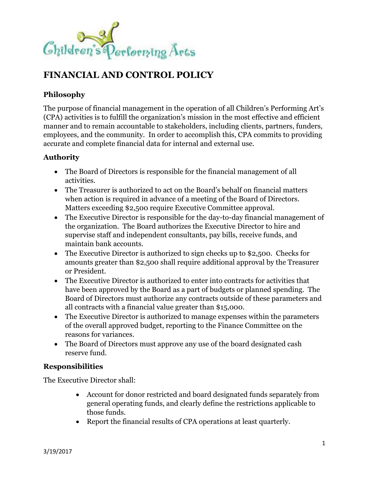

# **FINANCIAL AND CONTROL POLICY**

# **Philosophy**

The purpose of financial management in the operation of all Children's Performing Art's (CPA) activities is to fulfill the organization's mission in the most effective and efficient manner and to remain accountable to stakeholders, including clients, partners, funders, employees, and the community. In order to accomplish this, CPA commits to providing accurate and complete financial data for internal and external use.

## **Authority**

- The Board of Directors is responsible for the financial management of all activities.
- The Treasurer is authorized to act on the Board's behalf on financial matters when action is required in advance of a meeting of the Board of Directors. Matters exceeding \$2,500 require Executive Committee approval.
- The Executive Director is responsible for the day-to-day financial management of the organization. The Board authorizes the Executive Director to hire and supervise staff and independent consultants, pay bills, receive funds, and maintain bank accounts.
- The Executive Director is authorized to sign checks up to \$2,500. Checks for amounts greater than \$2,500 shall require additional approval by the Treasurer or President.
- The Executive Director is authorized to enter into contracts for activities that have been approved by the Board as a part of budgets or planned spending. The Board of Directors must authorize any contracts outside of these parameters and all contracts with a financial value greater than \$15,000.
- The Executive Director is authorized to manage expenses within the parameters of the overall approved budget, reporting to the Finance Committee on the reasons for variances.
- The Board of Directors must approve any use of the board designated cash reserve fund.

### **Responsibilities**

The Executive Director shall:

- Account for donor restricted and board designated funds separately from general operating funds, and clearly define the restrictions applicable to those funds.
- Report the financial results of CPA operations at least quarterly.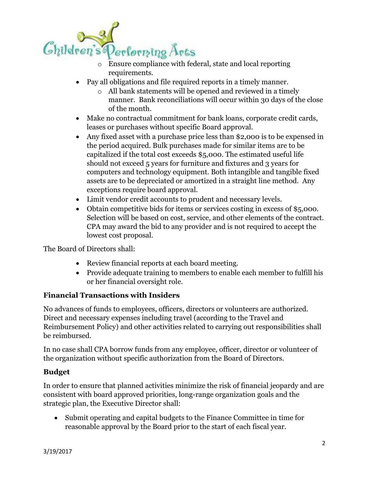

- requirements.
- Pay all obligations and file required reports in a timely manner.
	- o All bank statements will be opened and reviewed in a timely manner. Bank reconciliations will occur within 30 days of the close of the month.
- Make no contractual commitment for bank loans, corporate credit cards, leases or purchases without specific Board approval.
- Any fixed asset with a purchase price less than \$2,000 is to be expensed in the period acquired. Bulk purchases made for similar items are to be capitalized if the total cost exceeds \$5,000. The estimated useful life should not exceed 5 years for furniture and fixtures and 3 years for computers and technology equipment. Both intangible and tangible fixed assets are to be depreciated or amortized in a straight line method. Any exceptions require board approval.
- Limit vendor credit accounts to prudent and necessary levels.
- Obtain competitive bids for items or services costing in excess of \$5,000. Selection will be based on cost, service, and other elements of the contract. CPA may award the bid to any provider and is not required to accept the lowest cost proposal.

The Board of Directors shall:

- Review financial reports at each board meeting.
- Provide adequate training to members to enable each member to fulfill his or her financial oversight role.

### **Financial Transactions with Insiders**

No advances of funds to employees, officers, directors or volunteers are authorized. Direct and necessary expenses including travel (according to the Travel and Reimbursement Policy) and other activities related to carrying out responsibilities shall be reimbursed.

In no case shall CPA borrow funds from any employee, officer, director or volunteer of the organization without specific authorization from the Board of Directors.

### **Budget**

In order to ensure that planned activities minimize the risk of financial jeopardy and are consistent with board approved priorities, long-range organization goals and the strategic plan, the Executive Director shall:

• Submit operating and capital budgets to the Finance Committee in time for reasonable approval by the Board prior to the start of each fiscal year.